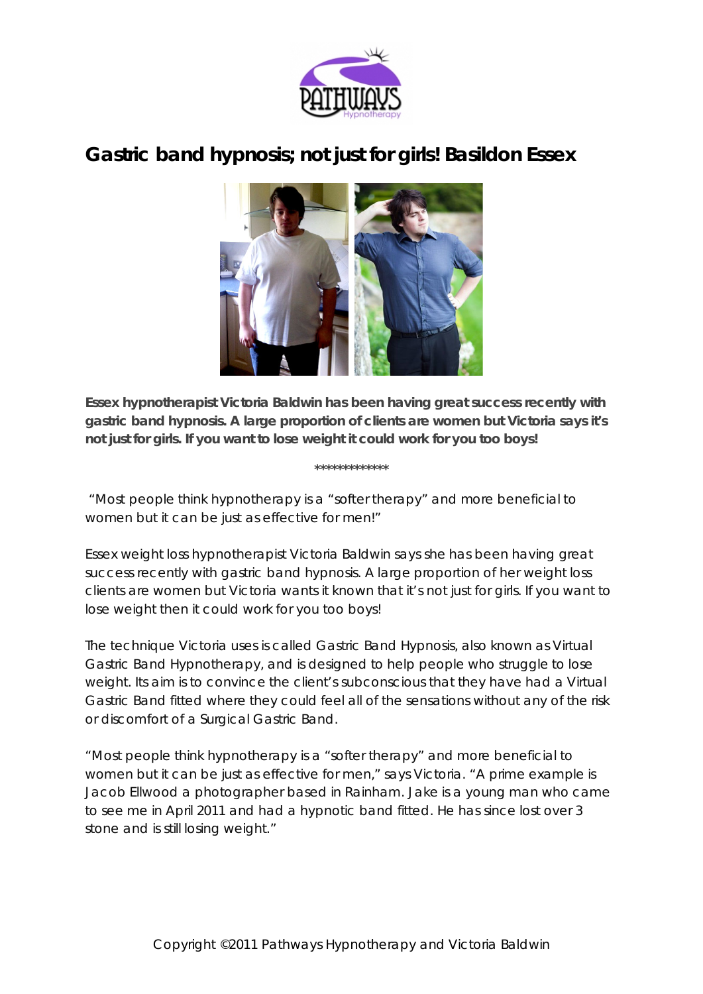

## **Gastric band hypnosis; not just for girls! Basildon Essex**



**Essex hypnotherapist Victoria Baldwin has been having great success recently with gastric band hypnosis. A large proportion of clients are women but Victoria says it's not just for girls. If you want to lose weight it could work for you too boys!**

**\*\*\*\*\*\*\*\*\*\*\*\*\***

## *"Most people think hypnotherapy is a "softer therapy" and more beneficial to women but it can be just as effective for men!"*

Essex weight loss hypnotherapist Victoria Baldwin says she has been having great success recently with gastric band hypnosis. A large proportion of her weight loss clients are women but Victoria wants it known that it's not just for girls. If you want to lose weight then it could work for you too boys!

The technique Victoria uses is called Gastric Band Hypnosis, also known as Virtual Gastric Band Hypnotherapy, and is designed to help people who struggle to lose weight. Its aim is to convince the client's subconscious that they have had a Virtual Gastric Band fitted where they could feel all of the sensations without any of the risk or discomfort of a Surgical Gastric Band.

"Most people think hypnotherapy is a "softer therapy" and more beneficial to women but it can be just as effective for men," says Victoria. "A prime example is Jacob Ellwood a photographer based in Rainham. Jake is a young man who came to see me in April 2011 and had a hypnotic band fitted. He has since lost over 3 stone and is still losing weight."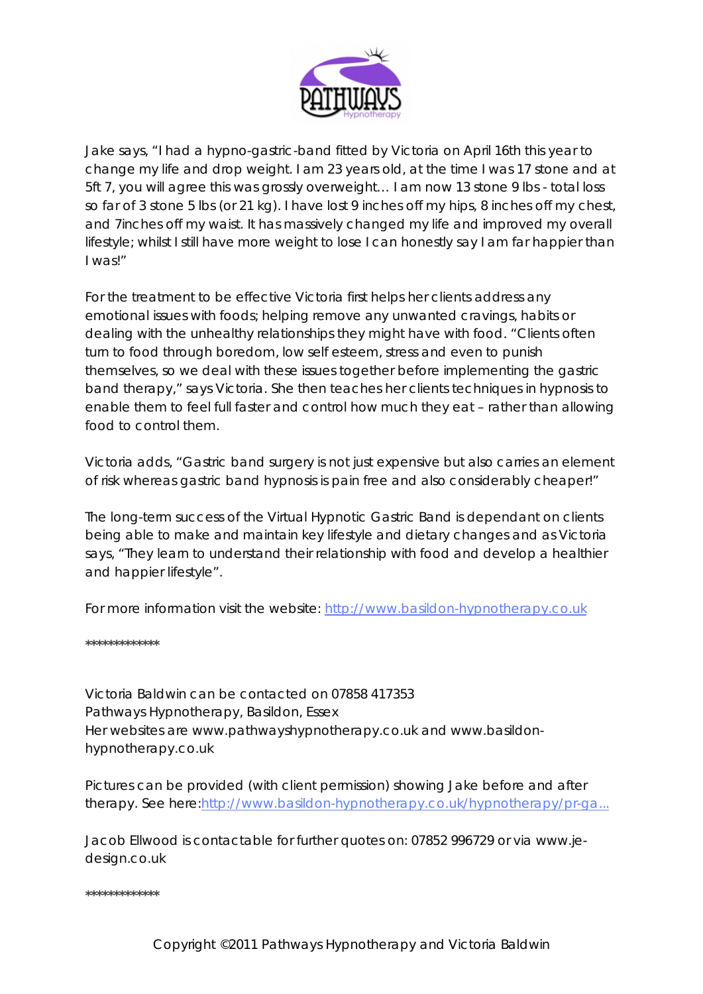

Jake says, "I had a hypno-gastric-band fitted by Victoria on April 16th this year to change my life and drop weight. I am 23 years old, at the time I was 17 stone and at 5ft 7, you will agree this was grossly overweight… I am now 13 stone 9 lbs - total loss so far of 3 stone 5 lbs (or 21 kg). I have lost 9 inches off my hips, 8 inches off my chest, and 7inches off my waist. It has massively changed my life and improved my overall lifestyle; whilst I still have more weight to lose I can honestly say I am far happier than I was!"

For the treatment to be effective Victoria first helps her clients address any emotional issues with foods; helping remove any unwanted cravings, habits or dealing with the unhealthy relationships they might have with food. "Clients often turn to food through boredom, low self esteem, stress and even to punish themselves, so we deal with these issues together before implementing the gastric band therapy," says Victoria. She then teaches her clients techniques in hypnosis to enable them to feel full faster and control how much they eat – rather than allowing food to control them.

Victoria adds, "Gastric band surgery is not just expensive but also carries an element of risk whereas gastric band hypnosis is pain free and also considerably cheaper!"

The long-term success of the Virtual Hypnotic Gastric Band is dependant on clients being able to make and maintain key lifestyle and dietary changes and as Victoria says, "They learn to understand their relationship with food and develop a healthier and happier lifestyle".

For more information visit the website: [http://www.basildon-hypnotherapy.co.uk](http://www.basildon-hypnotherapy.co.uk/)

**\*\*\*\*\*\*\*\*\*\*\*\*\***

Victoria Baldwin can be contacted on 07858 417353 Pathways Hypnotherapy, Basildon, Essex Her websites are www.pathwayshypnotherapy.co.uk and www.basildonhypnotherapy.co.uk

Pictures can be provided (with client permission) showing Jake before and after therapy. See here[:http://www.basildon-hypnotherapy.co.uk/hypnotherapy/pr-ga...](http://www.basildon-hypnotherapy.co.uk/hypnotherapy/pr-gastric-band-hypnosis.html)

Jacob Ellwood is contactable for further quotes on: 07852 996729 or via www.jedesign.co.uk

**\*\*\*\*\*\*\*\*\*\*\*\*\***